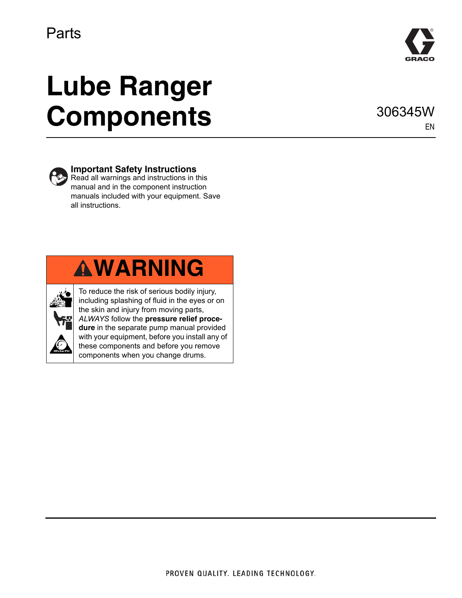

# **Lube Ranger Components**

306345W EN



#### **Important Safety Instructions**

 $\leftrightarrow$  Read all warnings and instructions in this manual and in the component instruction manuals included with your equipment. Save all instructions.





To reduce the risk of serious bodily injury, including splashing of fluid in the eyes or on the skin and injury from moving parts, *ALWAYS* follow the **pressure relief procedure** in the separate pump manual provided with your equipment, before you install any of these components and before you remove components when you change drums.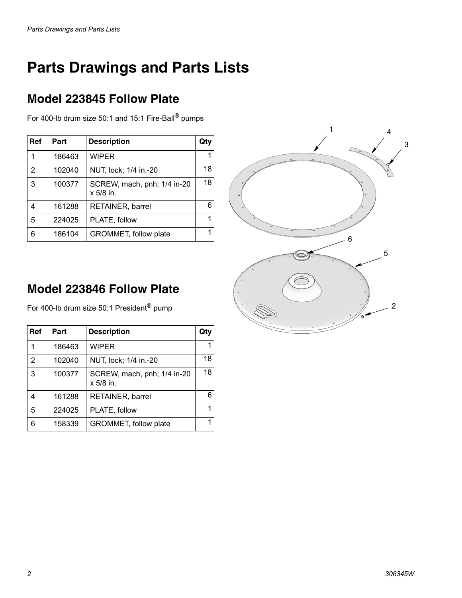## **Parts Drawings and Parts Lists**

#### **Model 223845 Follow Plate**

For 400-lb drum size 50:1 and 15:1 Fire-Ball® pumps

| Ref            | Part   | <b>Description</b>                         | Qtv |
|----------------|--------|--------------------------------------------|-----|
| 1              | 186463 | <b>WIPER</b>                               |     |
| $\mathfrak{p}$ | 102040 | NUT, lock; 1/4 in.-20                      | 18  |
| 3              | 100377 | SCREW, mach, pnh; 1/4 in-20<br>$x$ 5/8 in. | 18  |
| 4              | 161288 | <b>RETAINER, barrel</b>                    |     |
| 5              | 224025 | PLATE, follow                              |     |
| 6              | 186104 | GROMMET, follow plate                      |     |



#### **Model 223846 Follow Plate**

For 400-lb drum size 50:1 President® pump

| Ref            | Part   | <b>Description</b>                       | Qty |
|----------------|--------|------------------------------------------|-----|
|                | 186463 | <b>WIPER</b>                             |     |
| $\mathfrak{p}$ | 102040 | NUT, lock; 1/4 in.-20                    | 18  |
| 3              | 100377 | SCREW, mach, pnh; 1/4 in-20<br>x 5/8 in. | 18  |
| 4              | 161288 | <b>RETAINER, barrel</b>                  | 6   |
| 5              | 224025 | PLATE, follow                            |     |
| 6              | 158339 | GROMMET, follow plate                    |     |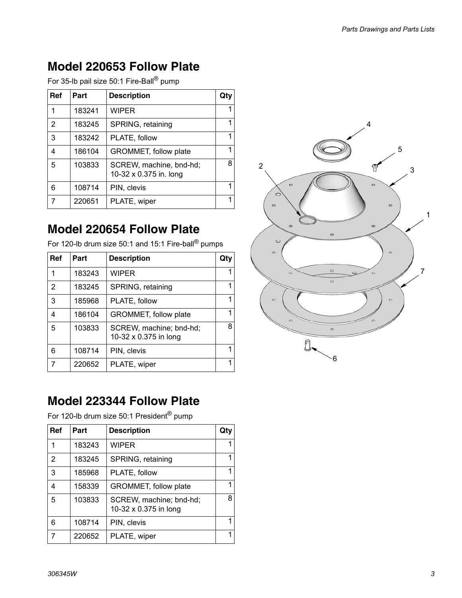#### **Model 220653 Follow Plate**

For 35-lb pail size 50:1 Fire-Ball® pump

| Ref | Part   | <b>Description</b>                                | Qtv |
|-----|--------|---------------------------------------------------|-----|
| 1   | 183241 | <b>WIPER</b>                                      |     |
| 2   | 183245 | SPRING, retaining                                 | 1   |
| 3   | 183242 | PLATE, follow                                     |     |
| 4   | 186104 | GROMMET, follow plate                             |     |
| 5   | 103833 | SCREW, machine, bnd-hd;<br>10-32 x 0.375 in. long | 8   |
| 6   | 108714 | PIN, clevis                                       | 1   |
|     | 220651 | PLATE, wiper                                      |     |

#### **Model 220654 Follow Plate**

For 120-lb drum size 50:1 and 15:1 Fire-ball® pumps

| Ref            | Part   | <b>Description</b>                               | Qtv |
|----------------|--------|--------------------------------------------------|-----|
| 1              | 183243 | <b>WIPER</b>                                     |     |
| $\mathfrak{p}$ | 183245 | SPRING, retaining                                | 1   |
| 3              | 185968 | PLATE, follow                                    |     |
| 4              | 186104 | GROMMET, follow plate                            |     |
| 5              | 103833 | SCREW, machine; bnd-hd;<br>10-32 x 0.375 in long | 8   |
| 6              | 108714 | PIN, clevis                                      | 1   |
|                | 220652 | PLATE, wiper                                     |     |

#### **Model 223344 Follow Plate**

For 120-lb drum size 50:1 President<sup>®</sup> pump

| Ref | Part   | <b>Description</b>                               | Qty |
|-----|--------|--------------------------------------------------|-----|
| 1   | 183243 | <b>WIPER</b>                                     |     |
| 2   | 183245 | SPRING, retaining                                | 1   |
| 3   | 185968 | PLATE, follow                                    |     |
| 4   | 158339 | GROMMET, follow plate                            |     |
| 5   | 103833 | SCREW, machine; bnd-hd;<br>10-32 x 0.375 in long | 8   |
| 6   | 108714 | PIN, clevis                                      | 1   |
|     | 220652 | PLATE, wiper                                     | 1   |

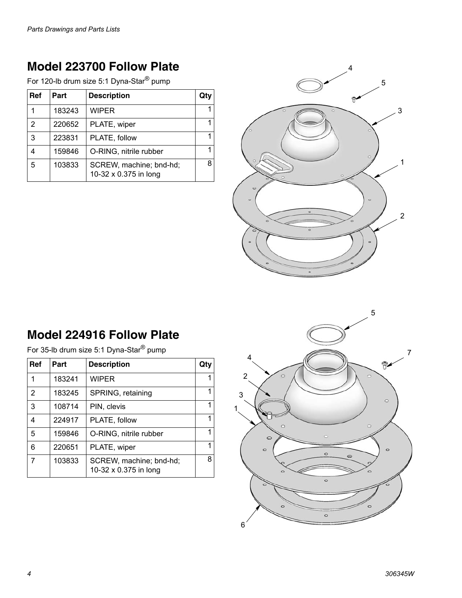#### **Model 223700 Follow Plate**

For 120-lb drum size 5:1 Dyna-Star® pump

| Ref | Part   | <b>Description</b>                               | Qty |
|-----|--------|--------------------------------------------------|-----|
|     | 183243 | WIPER                                            |     |
| 2   | 220652 | PLATE, wiper                                     |     |
| 3   | 223831 | PLATE, follow                                    |     |
|     | 159846 | O-RING, nitrile rubber                           |     |
| 5   | 103833 | SCREW, machine; bnd-hd;<br>10-32 x 0.375 in long | 8   |



### **Model 224916 Follow Plate**

For 35-lb drum size 5:1 Dyna-Star® pump

| Ref | Part   | <b>Description</b>                               | Qty |
|-----|--------|--------------------------------------------------|-----|
| 1   | 183241 | <b>WIPER</b>                                     |     |
| 2   | 183245 | SPRING, retaining                                | 1   |
| 3   | 108714 | PIN, clevis                                      | 1   |
| 4   | 224917 | PLATE, follow                                    | 1   |
| 5   | 159846 | O-RING, nitrile rubber                           | 1   |
| 6   | 220651 | PLATE, wiper                                     | 1   |
| 7   | 103833 | SCREW, machine; bnd-hd;<br>10-32 x 0.375 in long | 8   |

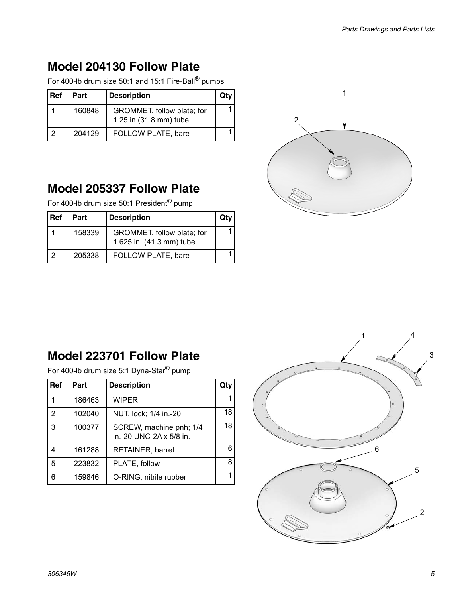#### **Model 204130 Follow Plate**

For 400-lb drum size 50:1 and 15:1 Fire-Ball® pumps

| Ref | Part   | <b>Description</b>                                   | Qtv |
|-----|--------|------------------------------------------------------|-----|
|     | 160848 | GROMMET, follow plate; for<br>1.25 in (31.8 mm) tube |     |
|     | 204129 | FOLLOW PLATE, bare                                   |     |

#### **Model 205337 Follow Plate**

For 400-lb drum size 50:1 President<sup>®</sup> pump

| l Ref | Part   | <b>Description</b>                                     | Qt |
|-------|--------|--------------------------------------------------------|----|
|       | 158339 | GROMMET, follow plate; for<br>1.625 in. (41.3 mm) tube |    |
|       | 205338 | FOLLOW PLATE, bare                                     |    |



#### **Model 223701 Follow Plate**

For 400-lb drum size 5:1 Dyna-Star® pump

| Ref            | Part   | <b>Description</b>                                 | Qty |
|----------------|--------|----------------------------------------------------|-----|
|                | 186463 | WIPER                                              |     |
| $\mathfrak{p}$ | 102040 | NUT, lock; 1/4 in.-20                              | 18  |
| 3              | 100377 | SCREW, machine pnh; 1/4<br>in.-20 UNC-2A x 5/8 in. | 18  |
| 4              | 161288 | RETAINER, barrel                                   | 6   |
| 5              | 223832 | PLATE, follow                                      | 8   |
| հ              | 159846 | O-RING, nitrile rubber                             |     |

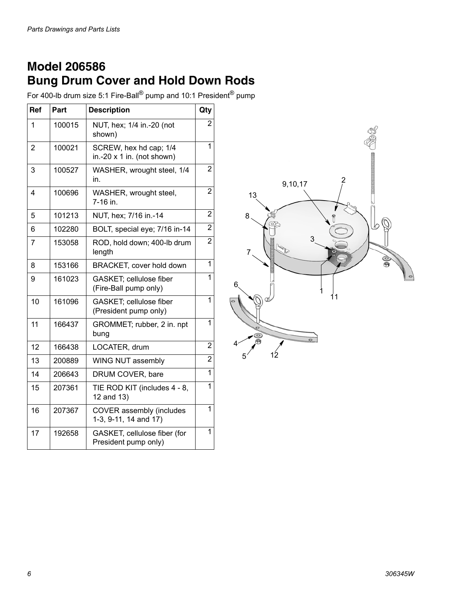#### **Model 206586 Bung Drum Cover and Hold Down Rods**

For 400-lb drum size 5:1 Fire-Ball® pump and 10:1 President® pump

| Ref            | Part   | <b>Description</b>                                          | Qty            |
|----------------|--------|-------------------------------------------------------------|----------------|
| 1              | 100015 | NUT, hex; 1/4 in.-20 (not<br>shown)                         | $\overline{c}$ |
| $\overline{2}$ | 100021 | SCREW, hex hd cap; 1/4<br>in.-20 $\times$ 1 in. (not shown) | 1              |
| 3              | 100527 | WASHER, wrought steel, 1/4<br>in.                           | $\overline{2}$ |
| 4              | 100696 | WASHER, wrought steel,<br>7-16 in.                          | $\overline{2}$ |
| 5              | 101213 | NUT, hex; 7/16 in.-14                                       | 2              |
| 6              | 102280 | BOLT, special eye; 7/16 in-14                               | $\overline{2}$ |
| $\overline{7}$ | 153058 | ROD, hold down; 400-lb drum<br>length                       | $\overline{2}$ |
| 8              | 153166 | BRACKET, cover hold down                                    | 1              |
| 9              | 161023 | GASKET; cellulose fiber<br>(Fire-Ball pump only)            | 1              |
| 10             | 161096 | GASKET; cellulose fiber<br>(President pump only)            | 1              |
| 11             | 166437 | GROMMET; rubber, 2 in. npt<br>bung                          | 1              |
| 12             | 166438 | LOCATER, drum                                               | 2              |
| 13             | 200889 | WING NUT assembly                                           | $\overline{2}$ |
| 14             | 206643 | DRUM COVER, bare                                            | 1              |
| 15             | 207361 | TIE ROD KIT (includes 4 - 8,<br>12 and 13)                  | 1              |
| 16             | 207367 | <b>COVER</b> assembly (includes<br>1-3, 9-11, 14 and 17)    | $\mathbf{1}$   |
| 17             | 192658 | GASKET, cellulose fiber (for<br>President pump only)        | 1              |

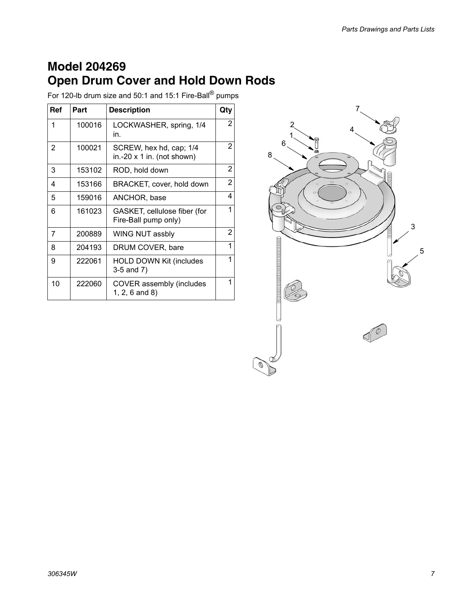#### **Model 204269 Open Drum Cover and Hold Down Rods**

For 120-lb drum size and 50:1 and 15:1 Fire-Ball® pumps

| <b>Ref</b> | Part   | <b>Description</b>                                           | Qty            |
|------------|--------|--------------------------------------------------------------|----------------|
| 1          | 100016 | LOCKWASHER, spring, 1/4<br>in.                               | $\overline{2}$ |
| 2          | 100021 | SCREW, hex hd, cap; 1/4<br>in.-20 $\times$ 1 in. (not shown) | 2              |
| 3          | 153102 | ROD, hold down                                               | 2              |
| 4          | 153166 | BRACKET, cover, hold down                                    | 2              |
| 5          | 159016 | ANCHOR, base                                                 | 4              |
| 6          | 161023 | GASKET, cellulose fiber (for<br>Fire-Ball pump only)         | 1              |
| 7          | 200889 | WING NUT assbly                                              | 2              |
| 8          | 204193 | DRUM COVER, bare                                             | 1              |
| 9          | 222061 | <b>HOLD DOWN Kit (includes</b><br>3-5 and 7)                 | 1              |
| 10         | 222060 | COVER assembly (includes<br>$1, 2, 6$ and 8)                 | 1              |

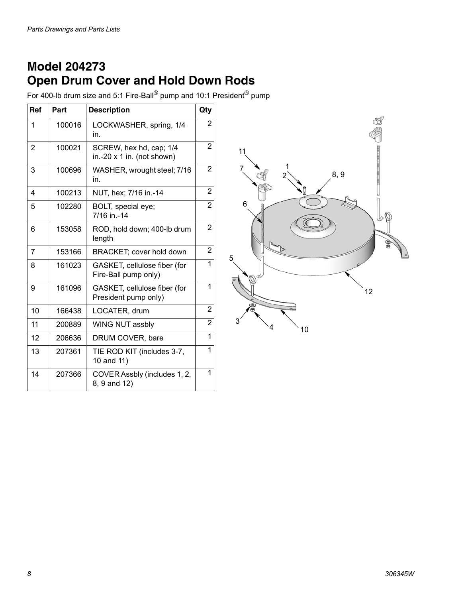#### **Model 204273 Open Drum Cover and Hold Down Rods**

For 400-lb drum size and 5:1 Fire-Ball® pump and 10:1 President® pump

| Ref            | Part   | <b>Description</b>                                    | Qty            |
|----------------|--------|-------------------------------------------------------|----------------|
| 1              | 100016 | LOCKWASHER, spring, 1/4<br>in.                        | 2              |
| $\overline{2}$ | 100021 | SCREW, hex hd, cap; 1/4<br>in.-20 x 1 in. (not shown) | $\overline{2}$ |
| 3              | 100696 | WASHER, wrought steel; 7/16<br>in.                    | 2              |
| 4              | 100213 | NUT, hex; 7/16 in.-14                                 | $\overline{2}$ |
| 5              | 102280 | BOLT, special eye;<br>7/16 in -14                     | $\overline{2}$ |
| 6              | 153058 | ROD, hold down; 400-lb drum<br>length                 | $\overline{2}$ |
| $\overline{7}$ | 153166 | BRACKET; cover hold down                              | $\overline{2}$ |
| 8              | 161023 | GASKET, cellulose fiber (for<br>Fire-Ball pump only)  | 1              |
| 9              | 161096 | GASKET, cellulose fiber (for<br>President pump only)  | 1              |
| 10             | 166438 | LOCATER, drum                                         | $\overline{2}$ |
| 11             | 200889 | WING NUT assbly                                       | $\overline{2}$ |
| 12             | 206636 | DRUM COVER, bare                                      | 1              |
| 13             | 207361 | TIE ROD KIT (includes 3-7,<br>10 and 11)              | 1              |
| 14             | 207366 | COVER Assbly (includes 1, 2,<br>8, 9 and 12)          | 1              |

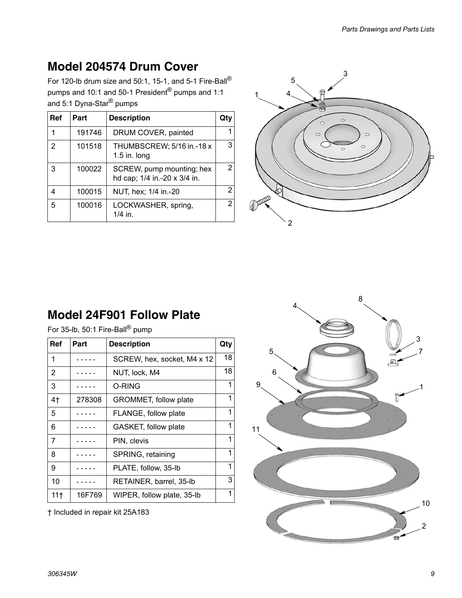#### **Model 204574 Drum Cover**

For 120-lb drum size and 50:1, 15-1, and 5-1 Fire-Ball® pumps and 10:1 and 50-1 President® pumps and 1:1 and 5:1 Dyna-Star<sup>®</sup> pumps

| Ref | Part   | <b>Description</b>                                        | Qtv            |
|-----|--------|-----------------------------------------------------------|----------------|
| 1   | 191746 | DRUM COVER, painted                                       |                |
| 2   | 101518 | THUMBSCREW; 5/16 in.-18 x<br>1.5 in. long                 | 3              |
| 3   | 100022 | SCREW, pump mounting; hex<br>hd cap; 1/4 in.-20 x 3/4 in. | $\overline{2}$ |
|     | 100015 | NUT, hex; 1/4 in.-20                                      | 2              |
| 5   | 100016 | LOCKWASHER, spring,<br>$1/4$ in.                          | $\overline{2}$ |



#### **Model 24F901 Follow Plate**

| For 35-lb, 50:1 Fire-Ball <sup>®</sup> pump |        |                             |     |
|---------------------------------------------|--------|-----------------------------|-----|
| Ref                                         | Part   | <b>Description</b>          | Qty |
|                                             |        | SCREW, hex, socket, M4 x 12 | 18  |
| $\overline{2}$                              |        | NUT, lock, M4               | 18  |
| 3                                           |        | O-RING                      | 1   |
| 4 <sub>1</sub>                              | 278308 | GROMMET, follow plate       | 1   |
| 5                                           |        | FLANGE, follow plate        | 1   |
| ี                                           |        | GASKET follow plate         |     |

| $\mathbf 1$     |        | SCREW, hex, socket, M4 x 12 | 18 |
|-----------------|--------|-----------------------------|----|
| $\overline{2}$  |        | NUT, lock, M4               | 18 |
| 3               |        | O-RING                      | 1  |
| 4 <sub>†</sub>  | 278308 | GROMMET, follow plate       | 1  |
| 5               |        | FLANGE, follow plate        | 1  |
| 6               |        | GASKET, follow plate        | 1  |
| 7               |        | PIN, clevis                 | 1  |
| 8               |        | SPRING, retaining           | 1  |
| 9               |        | PLATE, follow, 35-lb        | 1  |
| 10              |        | RETAINER, barrel, 35-lb     | 3  |
| 11 <sup>†</sup> | 16F769 | WIPER, follow plate, 35-lb  | 1  |
|                 |        |                             |    |

† Included in repair kit 25A183